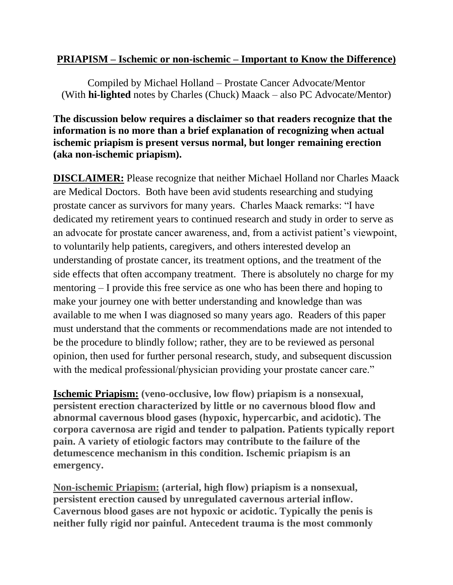## **PRIAPISM – Ischemic or non-ischemic – Important to Know the Difference)**

Compiled by Michael Holland – Prostate Cancer Advocate/Mentor (With **hi-lighted** notes by Charles (Chuck) Maack – also PC Advocate/Mentor)

## **The discussion below requires a disclaimer so that readers recognize that the information is no more than a brief explanation of recognizing when actual ischemic priapism is present versus normal, but longer remaining erection (aka non-ischemic priapism).**

**DISCLAIMER:** Please recognize that neither Michael Holland nor Charles Maack are Medical Doctors. Both have been avid students researching and studying prostate cancer as survivors for many years. Charles Maack remarks: "I have dedicated my retirement years to continued research and study in order to serve as an advocate for prostate cancer awareness, and, from a activist patient's viewpoint, to voluntarily help patients, caregivers, and others interested develop an understanding of prostate cancer, its treatment options, and the treatment of the side effects that often accompany treatment. There is absolutely no charge for my mentoring – I provide this free service as one who has been there and hoping to make your journey one with better understanding and knowledge than was available to me when I was diagnosed so many years ago. Readers of this paper must understand that the comments or recommendations made are not intended to be the procedure to blindly follow; rather, they are to be reviewed as personal opinion, then used for further personal research, study, and subsequent discussion with the medical professional/physician providing your prostate cancer care."

**Ischemic Priapism: (veno-occlusive, low flow) priapism is a nonsexual, persistent erection characterized by little or no cavernous blood flow and abnormal cavernous blood gases (hypoxic, hypercarbic, and acidotic). The corpora cavernosa are rigid and tender to palpation. Patients typically report pain. A variety of etiologic factors may contribute to the failure of the detumescence mechanism in this condition. Ischemic priapism is an emergency.**

**Non-ischemic Priapism: (arterial, high flow) priapism is a nonsexual, persistent erection caused by unregulated cavernous arterial inflow. Cavernous blood gases are not hypoxic or acidotic. Typically the penis is neither fully rigid nor painful. Antecedent trauma is the most commonly**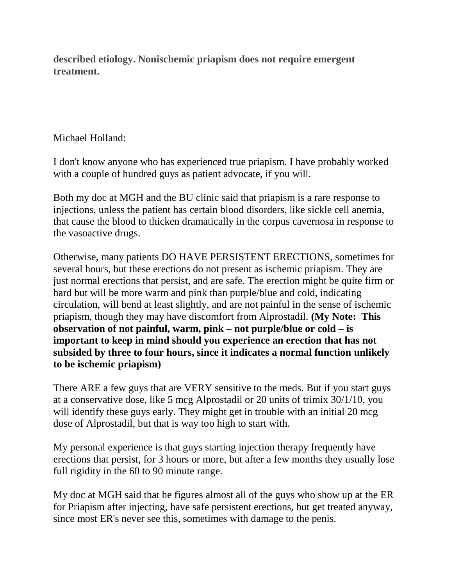**described etiology. Nonischemic priapism does not require emergent treatment.**

## Michael Holland:

I don't know anyone who has experienced true priapism. I have probably worked with a couple of hundred guys as patient advocate, if you will.

Both my doc at MGH and the BU clinic said that priapism is a rare response to injections, unless the patient has certain blood disorders, like sickle cell anemia, that cause the blood to thicken dramatically in the corpus cavernosa in response to the vasoactive drugs.

Otherwise, many patients DO HAVE PERSISTENT ERECTIONS, sometimes for several hours, but these erections do not present as ischemic priapism. They are just normal erections that persist, and are safe. The erection might be quite firm or hard but will be more warm and pink than purple/blue and cold, indicating circulation, will bend at least slightly, and are not painful in the sense of ischemic priapism, though they may have discomfort from Alprostadil. **(My Note: This observation of not painful, warm, pink – not purple/blue or cold – is important to keep in mind should you experience an erection that has not subsided by three to four hours, since it indicates a normal function unlikely to be ischemic priapism)**

There ARE a few guys that are VERY sensitive to the meds. But if you start guys at a conservative dose, like 5 mcg Alprostadil or 20 units of trimix 30/1/10, you will identify these guys early. They might get in trouble with an initial 20 mcg dose of Alprostadil, but that is way too high to start with.

My personal experience is that guys starting injection therapy frequently have erections that persist, for 3 hours or more, but after a few months they usually lose full rigidity in the 60 to 90 minute range.

My doc at MGH said that he figures almost all of the guys who show up at the ER for Priapism after injecting, have safe persistent erections, but get treated anyway, since most ER's never see this, sometimes with damage to the penis.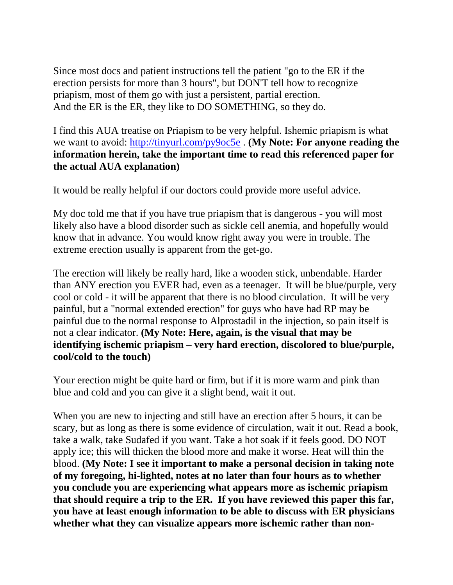Since most docs and patient instructions tell the patient "go to the ER if the erection persists for more than 3 hours", but DON'T tell how to recognize priapism, most of them go with just a persistent, partial erection. And the ER is the ER, they like to DO SOMETHING, so they do.

I find this AUA treatise on Priapism to be very helpful. Ishemic priapism is what we want to avoid:<http://tinyurl.com/py9oc5e> . **(My Note: For anyone reading the information herein, take the important time to read this referenced paper for the actual AUA explanation)**

It would be really helpful if our doctors could provide more useful advice.

My doc told me that if you have true priapism that is dangerous - you will most likely also have a blood disorder such as sickle cell anemia, and hopefully would know that in advance. You would know right away you were in trouble. The extreme erection usually is apparent from the get-go.

The erection will likely be really hard, like a wooden stick, unbendable. Harder than ANY erection you EVER had, even as a teenager. It will be blue/purple, very cool or cold - it will be apparent that there is no blood circulation. It will be very painful, but a "normal extended erection" for guys who have had RP may be painful due to the normal response to Alprostadil in the injection, so pain itself is not a clear indicator. **(My Note: Here, again, is the visual that may be identifying ischemic priapism – very hard erection, discolored to blue/purple, cool/cold to the touch)**

Your erection might be quite hard or firm, but if it is more warm and pink than blue and cold and you can give it a slight bend, wait it out.

When you are new to injecting and still have an erection after 5 hours, it can be scary, but as long as there is some evidence of circulation, wait it out. Read a book, take a walk, take Sudafed if you want. Take a hot soak if it feels good. DO NOT apply ice; this will thicken the blood more and make it worse. Heat will thin the blood. **(My Note: I see it important to make a personal decision in taking note of my foregoing, hi-lighted, notes at no later than four hours as to whether you conclude you are experiencing what appears more as ischemic priapism that should require a trip to the ER. If you have reviewed this paper this far, you have at least enough information to be able to discuss with ER physicians whether what they can visualize appears more ischemic rather than non-**